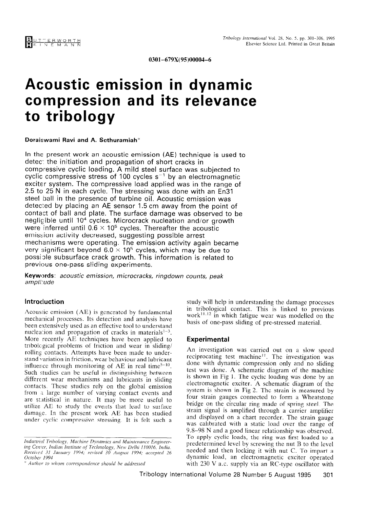# A coustic emission in dynamic compression and its relevance to tribology

#### Doraiswami Ravi and A. Sethuramiah\*

In the present work an acoustic emission (AE) technique is used to detec: the initiation and propagation of short cracks in compressive cyclic loading. A mild steel surface was subjected to cyclic compressive stress of 100 cycles  $s^{-1}$  by an electromagnetic exciter system. The compressive load applied was in the range of 2.5 to 25 N in each cycle. The stressing was done with an En31 steel ball in the presence of turbine oil. Acoustic emission was detected by placing an AE sensor 1.5 cm away from the point of contact of ball and plate. The surface damage was observed to be neglicible until 10<sup>4</sup> cycles. Microcrack nucleation and/or growth were inferred until  $0.6 \times 10^5$  cycles. Thereafter the acoustic emission activity decreased, suggesting possible arrest mechanisms were operating. The emission activity again became very significant beyond 6.0  $\times$  10<sup>5</sup> cycles, which may be due to possiole subsurface crack growth. This information is related to previous one-pass sliding experiments.

Keywords: acoustic emission, microcracks, ringdown counts, peak amplitude

## Introduction

Acousiic emission (AE) is generated by fundamental mechanical processes. Its detection and analysis have been extensively used as an effective tool to understand nucleation and propagation of cracks in materials<sup> $1-3$ </sup>. More recently AE techniques have been applied to tribolcgical problems of friction and wear in sliding/ rolling contacts. Attempts have been made to understand variation in friction, wear behaviour and lubricant influence through monitoring of AE in real time<sup>5-10</sup>. Such studies can be useful in distinguishing between different wear mechanisms and lubricants in sliding contacts. These studies rely on the global emission from a large number of varying contact events and are statistical in nature. It may be more useful to utilize AE to study the events that lead to surface damage. In the present work AE has been studied under cyclic compressive stressing. It is felt such a

study will help in understanding the damage processes in tribological contact. This is linked to previous work $11.12$  in which fatigue wear was modelled on the basis of one-pass sliding of pre-stressed material.

## Experimental

 $\Lambda$  is investigation was carried out on a slow speed out on a slow speed out on a slow speed out on a slow speed reciprocation was carried out on a slow speed reciprocating test machine<sup> $11$ </sup>. The investigation was done with dynamic compression only and no sliding test was done. A schematic diagram of the machine is shown in Fig 1. The cyclic loading was done by an electromagnetic exciter. A schematic diagram of the system is shown in Fig 2. The strain is measured by four strain gauges connected to form a Wheatstone. bridge on the circular ring made of spring steel. The strain signal is amplified through a carrier amplifier. and displayed on a chart recorder. The strain gauge was calibrated with a static load over the range of  $9.8-98$  N and a good linear relationship was observed. To apply cyclic loads, the ring was first loaded to a predetermined level by screwing the nut B to the level needed and then locking it with nut C. To impart a dynamic load, an electromagnetic exciter operated with  $230 \text{ V}$  a.c. supply via an RC-type oscillator with Tribology international Volume 28 Number 5 August 1995 301

Industrial Tribology. Machine Dyrznnzics and Muintmnrace Engineerinaasinat Triootogy, Machine Dynamics and Maintenance Enginee, ing Cenver, Indian Institute of Technology, New Delhi 110016, India. Received 31 January 1994; revised 30 August 1994; accep October 1994<br>\* Author to whom correspondence should be addressed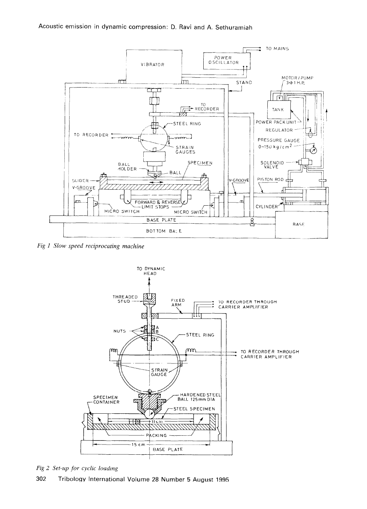

Fig 1 Slow speed reciprocating machine



Fig 2 Set-up for cyclic loading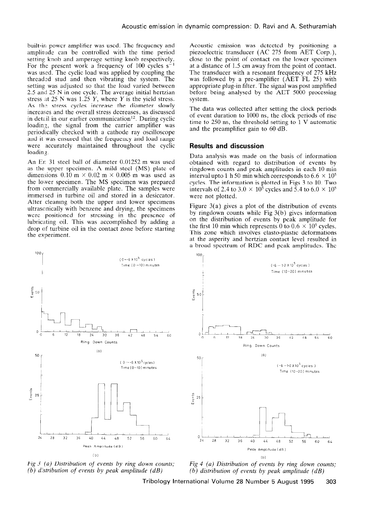built-in power amplifier was used. The frequency and amplitude can be controlled with the time period setting knob and amperage setting knob respectively. For the present work a frequency of  $100$  cycles s<sup>-</sup> was used. The cyclic load was applied by coupling the threaded stud and then vibrating the system. The setting was adjusted so that the load varied between 2.5 and 25 N in one cycle. The average initial hertzian stress at 25 N was 1.25 Y, where Y is the yield stress. As the stress cycles increase the diameter slowly increases and the overall stress decreases, as discussed in detail in our earlier communication<sup>12</sup>. During cyclic loading, the signal from the carrier amplifier was periodically checked with a cathode ray oscilloscope and it was ensured that the frequency and load range were accurately maintained throughout the cyclic loading.

An Er, 31 steel ball of diameter 0.01252 m was used as the upper specimen.  $\Lambda$  mild steel (MS) plate of dimensions  $0.10 \text{ m} \times 0.02 \text{ m} \times 0.005 \text{ m}$  was used as the lower specimen. The MS specimen was prepared from commercially available plate. The samples were immersed in turbine oil and stored in a desiccator. After cleaning both the upper and lower specimens ultrasonically with benzene and drying, the specimens were positioned for stressing in the presence of lubricating oil. This was accomplished by adding a drop of turbine oil in the contact zone before starting the experiment.





Acoustic emission was detected by positioning a piezoelectric transducer (AC 275 from AET Corp.), close to the point of contact on the lower specimen at a distance of 1.5 cm away from the point of contact. The transducer with a resonant frequency of 275 kHz was followed by a pre-amplifier (AET FL 25) with appropriate plug-in filter. The signal was post amplified before being analysed by the AET 5000 processing system.

The data was collected after setting the clock periods of event duration to 1000 ns, the clock periods of rise time to 250 ns, the threshold setting to  $1 \text{ V}$  automatic and the preamplifier gain to 60 dB.

# Results and discussion

Data analysis was made on the basis of information obtained with regard to distribution of events by ringdown counts and peak amplitudes in each 10 min interval upto 1 h 50 min which corresponds to  $6.6 \times 10^5$ cycles. The information is plotted in Figs 3 to 10. Two intervals of 2.4 to 3.0  $\times$  10<sup>5</sup> cycles and 5.4 to 6.0  $\times$  10<sup>5</sup> were not plotted.

Figure  $3(a)$  gives a plot of the distribution of events by ringdown counts while Fig 3(b) gives information on the distribution of events by peak amplitude for the first 10 min which represents 0 to  $0.6 \times 10^5$  cycles. This zone which involves elasto-plastic deformations at the asperity and hertzian contact level resulted in a broad spectrum of RDC and peak amplitudes. The



Fig 4 (a) Distribution of events by ring down counts; (b) distribution of events by peak amplitude  $(d)$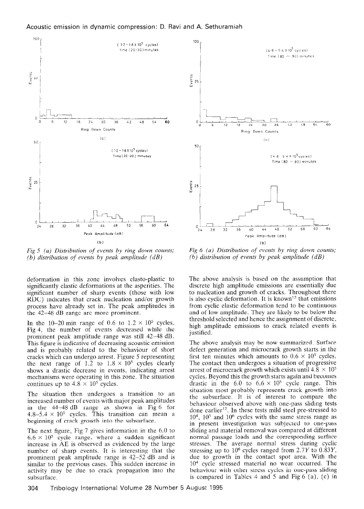

Fig  $5$  (a) Distribution of events by ring down counts; (b) distribution of events by peak amplitude  $(d)$ 

deformation in this zone involves elasto-plastic to significantly elastic deformations at the asperities. The significant number of sharp events (those with low RDC) indicates that crack nucleation and/or growth process have already set in. The peak amplitudes in the 42-48 dB range are more prominent.

In the 10–20 min range of 0.6 to  $1.2 \times 10^5$  cycles, Fig 4, the number of events decreased while the prominent peak amplitude range was still 42-48 dB. This figure is indicative of decreasing acoustic emission and ignore is majorities of accreasing accusive exhibition and is provadly related to the vehaviour of sho cracks which can undergo arrest. Figure 5 representing<br>the next range of 1.2 to  $1.8 \times 10^5$  cycles clearly  $\frac{1}{3}$  drastic decrease in  $\frac{1}{3}$  drastic arrest indicating arrest shows a mashe accrease in events, marcaing arrea mechanisms were operating in this zone. The situation continues up to  $4.8 \times 10^5$  cycles.

The situation then undergoes a transition to an  $\frac{1}{10}$  situation then undergoes a transition to a increased number of events with major peak amplitudes in the  $44-48$  dB range as shown in Fig 6 for  $4.8-5.4 \times 10^5$  cycles. This transition can mean a beginning of crack growth into the subsurface.

The next figure, Fig 7 gives information in the 6.0 to The next figure, rig  $\ell$  gives information in the  $0.0 \text{ m}$  $6.6 \times 10^5$  cycle range, where a sudden significant increase in AE is observed as evidenced by the large number of sharp events. It is interesting that the prominent peak amplitude range is  $42-52$  dB and is similar to the previous cases. This sudden increase in activity may be due to crack propagation into the subsurface. 304 Tribology international Volume 28 Number 5 August 1995



Fig  $6$  (a) Distribution of events by ring down counts; (b) distribution of events by peak amplitude  $(d)$ 

The above analysis is based on the assumption that discrete high amplitude emissions are essentially due to nucleation and growth of cracks. Throughout there is also cyclic deformation. It is known<sup>13</sup> that emissions from cyclic elastic deformation tend to be continuous and of low amplitude. They are likely to be below the threshold selected and hence the assignment of discrete, high amplitude emissions to crack related events is justified.

The above analysis may be now summarized. Surface defect generation and microcrack growth starts in the defect generation and inicrocrack growth starts in the first ten minutes which amounts to  $0.6 \times 10^5$  cycles. The contact then undergoes a situation of progressive<br>arrest of microcrack growth which exists until  $4.8 \times 10^5$ arrest of inicrocrack growth which exists until  $4.6 \times 10^{-7}$ cycles. Beyond this the growth starts again and becomes drastic in the 6.0 to  $6.6 \times 10^5$  cycle range. This situation most probably represents crack growth into the subsurface. It is of interest to compare the behaviour observed above with one-pass sliding tests done earlier<sup>12</sup>. In these tests mild steel pre-stressed to  $10<sup>4</sup>$ ,  $10<sup>5</sup>$  and  $10<sup>6</sup>$  cycles with the same stress range as in present investigation was subjected to one-pass sliding and material removal was compared at different normal passage loads and the corresponding surface stresses. The average normal stress during cyclic stressing up to  $10^6$  cycles ranged from 2.7Y to 0.83Y, due to growth in the contact spot area. With the  $10<sup>4</sup>$  cycle stressed material no wear occurred. The behaviour with other stress cycles in one-pass sliding<br>is compared in Tables  $4$  and  $5$  and Fig  $6$  (a), (c) in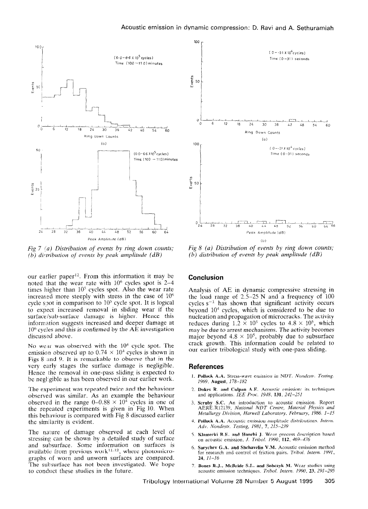

Fig 7 (a) Distribution of events by ring down counts; (b) distribution of events by peak amplitude  $(dB)$ 

our earlier paper<sup>12</sup>. From this information it may be noted that the wear rate with  $10^6$  cycles spot is 2-4 times higher than  $10^5$  cycles spot. Also the wear rate increased more steeply with stress in the case of  $10<sup>6</sup>$ cycle spot in comparison to  $10<sup>5</sup>$  cycle spot. It is logical to expect increased removal in sliding wear if the surface/sub-surface damage is higher. Hence this information suggests increased and deeper damage at  $10<sup>6</sup>$  cycles and this is confirmed by the AE investigation discussed above.

No wear was observed with the  $10<sup>4</sup>$  cycle spot. The emission observed up to  $0.74 \times 10^4$  cycles is shown in Figs 8 and 9. It is remarkable to observe that in the very early stages the surface damage is negligible. Hence the removal in one-pass sliding is expected to be negligible as has been observed in our earlier work.

The experiment was repeated twice and the behaviour observed was similar. As an example the behaviour observed in the range  $0-0.88 \times 10^4$  cycles in one of the repeated experiments is given in Fig 10. When this behaviour is compared with Fig 8 discussed earlier the similarity is evident.

The nature of damage observed at each level of stressing can be shown by a detailed study of surface and subsurface. Some information on surfaces is available from previous work $11.12$ , where photomicrographs of worn and unworn surfaces are compared. The subsurface has not been investigated. We hope to conduct these studies in the future.



Fig  $8$  (a) Distribution of events by ring down counts; (b) distribution of events by peak amplitude  $(d)$ 

## Conclusion

Analysis of AE in dynamic compressive stressing in the load range of  $2.5-25$  N and a frequency of 100 cycles  $s^{-1}$  has shown that significant activity occurs beyond  $10<sup>4</sup>$  cycles, which is considered to be due to nucleation and propagation of microcracks. The activity reduces during  $1.\overline{2} \times 10^5$  cycles to  $4.8 \times 10^5$ , which may be due to arrest mechanisms. The activity becomes major beyond  $4.8 \times 10^5$ , probably due to subsurface crack growth. This information could be related to our earlier tribological study with one-pass sliding.

#### References

- 1. **Pollock A.A.** Stress-wave emission in NDT. Nondestr. Testing 1969. August, 178-182
- 2. Dukes R. and Culpan A.E. Acoustic emission: its technique and applications. IEE Proc. 1948, 131, 241-251
- 3. Seruby S.C. An introduction to acoustic emission. Repo AERE.R12139, National NDT Centre, Material Physics and Metallurgy Division, Harwell Laboratory. February, 1986. I-15
- 4. Pollock  $A.A.$  Acoustic emission amplitude distributions. Inter-Adv. Nondestr. Testing, 1981, 7, 215-239
- 5. Klamecki B.E. and Hanchi J. Wear process description based on acoustic emission. J. Tribol. 1990,  $112$ ,  $469-476$
- 6. Sarychev G.A. and Shchavelin V.M. Acoustic emission method for research and control of friction pairs. Tribol. Intern. 1991,  $24$ ,  $11 - 16$
- 7. Bones R.J., McBride S.L. and Sobczyk M. Wear studies using acoustic emission techniques. Tribol. Intern. 1990, 23, 291-295